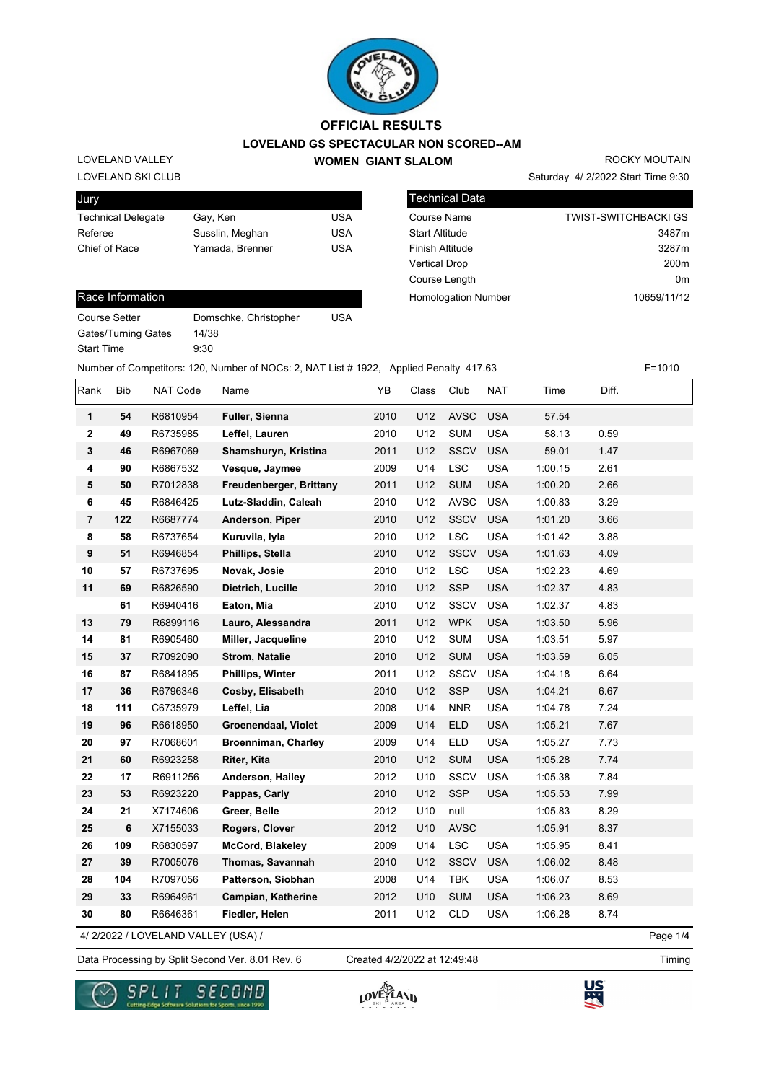

LOVELAND SKI CLUB LOVELAND VALLEY

| Jury                      |                 |     |
|---------------------------|-----------------|-----|
| <b>Technical Delegate</b> | Gay, Ken        | USA |
| Referee                   | Susslin, Meghan | USA |
| Chief of Race             | Yamada, Brenner | USA |
|                           |                 |     |

| <b>Technical Data</b>      |                             |
|----------------------------|-----------------------------|
| <b>Course Name</b>         | <b>TWIST-SWITCHBACKI GS</b> |
| <b>Start Altitude</b>      | 3487m                       |
| <b>Finish Altitude</b>     | 3287m                       |
| <b>Vertical Drop</b>       | 200 <sub>m</sub>            |
| Course Length              | 0 <sub>m</sub>              |
| <b>Homologation Number</b> | 10659/11/12                 |

Saturday 4/ 2/2022 Start Time 9:30

ROCKY MOUTAIN

#### Race Information

Course Setter Domschke, Christopher USA Gates/Turning Gates 14/38 Start Time 9:30

Number of Competitors: 120, Number of NOCs: 2, NAT List # 1922, Applied Penalty 417.63 F=1010

| Rank                    | <b>Bib</b> | NAT Code | Name                       | YB   | Class | Club        | <b>NAT</b> | Time    | Diff. |  |
|-------------------------|------------|----------|----------------------------|------|-------|-------------|------------|---------|-------|--|
| 1                       | 54         | R6810954 | Fuller, Sienna             | 2010 | U12   | <b>AVSC</b> | <b>USA</b> | 57.54   |       |  |
| $\overline{\mathbf{2}}$ | 49         | R6735985 | Leffel, Lauren             | 2010 | U12   | <b>SUM</b>  | <b>USA</b> | 58.13   | 0.59  |  |
| 3                       | 46         | R6967069 | Shamshuryn, Kristina       | 2011 | U12   | <b>SSCV</b> | <b>USA</b> | 59.01   | 1.47  |  |
| 4                       | 90         | R6867532 | Vesque, Jaymee             | 2009 | U14   | <b>LSC</b>  | <b>USA</b> | 1:00.15 | 2.61  |  |
| 5                       | 50         | R7012838 | Freudenberger, Brittany    | 2011 | U12   | <b>SUM</b>  | <b>USA</b> | 1:00.20 | 2.66  |  |
| 6                       | 45         | R6846425 | Lutz-Sladdin, Caleah       | 2010 | U12   | <b>AVSC</b> | <b>USA</b> | 1:00.83 | 3.29  |  |
| $\overline{7}$          | 122        | R6687774 | Anderson, Piper            | 2010 | U12   | SSCV        | <b>USA</b> | 1:01.20 | 3.66  |  |
| 8                       | 58         | R6737654 | Kuruvila, lyla             | 2010 | U12   | <b>LSC</b>  | <b>USA</b> | 1:01.42 | 3.88  |  |
| 9                       | 51         | R6946854 | Phillips, Stella           | 2010 | U12   | <b>SSCV</b> | <b>USA</b> | 1:01.63 | 4.09  |  |
| 10                      | 57         | R6737695 | Novak, Josie               | 2010 | U12   | <b>LSC</b>  | <b>USA</b> | 1:02.23 | 4.69  |  |
| 11                      | 69         | R6826590 | Dietrich, Lucille          | 2010 | U12   | <b>SSP</b>  | <b>USA</b> | 1:02.37 | 4.83  |  |
|                         | 61         | R6940416 | Eaton, Mia                 | 2010 | U12   | <b>SSCV</b> | <b>USA</b> | 1:02.37 | 4.83  |  |
| 13                      | 79         | R6899116 | Lauro, Alessandra          | 2011 | U12   | <b>WPK</b>  | <b>USA</b> | 1:03.50 | 5.96  |  |
| 14                      | 81         | R6905460 | Miller, Jacqueline         | 2010 | U12   | <b>SUM</b>  | <b>USA</b> | 1:03.51 | 5.97  |  |
| 15                      | 37         | R7092090 | <b>Strom, Natalie</b>      | 2010 | U12   | <b>SUM</b>  | <b>USA</b> | 1:03.59 | 6.05  |  |
| 16                      | 87         | R6841895 | Phillips, Winter           | 2011 | U12   | SSCV        | <b>USA</b> | 1:04.18 | 6.64  |  |
| 17                      | 36         | R6796346 | Cosby, Elisabeth           | 2010 | U12   | <b>SSP</b>  | <b>USA</b> | 1:04.21 | 6.67  |  |
| 18                      | 111        | C6735979 | Leffel, Lia                | 2008 | U14   | <b>NNR</b>  | <b>USA</b> | 1:04.78 | 7.24  |  |
| 19                      | 96         | R6618950 | Groenendaal, Violet        | 2009 | U14   | <b>ELD</b>  | <b>USA</b> | 1:05.21 | 7.67  |  |
| 20                      | 97         | R7068601 | <b>Broenniman, Charley</b> | 2009 | U14   | <b>ELD</b>  | <b>USA</b> | 1:05.27 | 7.73  |  |
| 21                      | 60         | R6923258 | Riter, Kita                | 2010 | U12   | <b>SUM</b>  | <b>USA</b> | 1:05.28 | 7.74  |  |
| 22                      | 17         | R6911256 | Anderson, Hailey           | 2012 | U10   | SSCV        | <b>USA</b> | 1:05.38 | 7.84  |  |
| 23                      | 53         | R6923220 | Pappas, Carly              | 2010 | U12   | <b>SSP</b>  | <b>USA</b> | 1:05.53 | 7.99  |  |
| 24                      | 21         | X7174606 | Greer, Belle               | 2012 | U10   | null        |            | 1:05.83 | 8.29  |  |
| 25                      | 6          | X7155033 | Rogers, Clover             | 2012 | U10   | <b>AVSC</b> |            | 1:05.91 | 8.37  |  |
| 26                      | 109        | R6830597 | <b>McCord, Blakeley</b>    | 2009 | U14   | <b>LSC</b>  | <b>USA</b> | 1:05.95 | 8.41  |  |
| 27                      | 39         | R7005076 | Thomas, Savannah           | 2010 | U12   | <b>SSCV</b> | <b>USA</b> | 1:06.02 | 8.48  |  |
| 28                      | 104        | R7097056 | Patterson, Siobhan         | 2008 | U14   | <b>TBK</b>  | <b>USA</b> | 1:06.07 | 8.53  |  |
| 29                      | 33         | R6964961 | Campian, Katherine         | 2012 | U10   | <b>SUM</b>  | <b>USA</b> | 1:06.23 | 8.69  |  |
| 30                      | 80         | R6646361 | Fiedler, Helen             | 2011 | U12   | <b>CLD</b>  | <b>USA</b> | 1:06.28 | 8.74  |  |

4/ 2/2022 / LOVELAND VALLEY (USA) /

Data Processing by Split Second Ver. 8.01 Rev. 6 Created 4/2/2022 at 12:49:48 Created 4/2/2022 at 12:49:48

Page 1/4





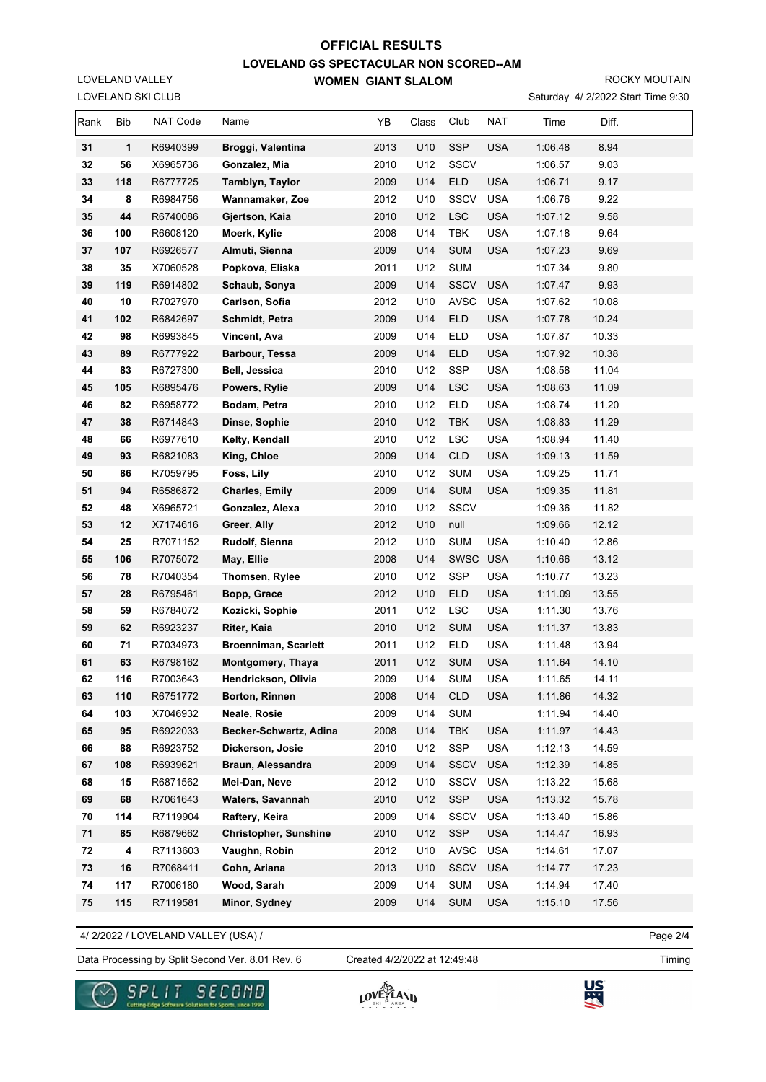ROCKY MOUTAIN

Saturday 4/ 2/2022 Start Time 9:30

| Rank | <b>Bib</b> | NAT Code | Name                         | YB   | Class | Club        | NAT        | Time    | Diff. |  |
|------|------------|----------|------------------------------|------|-------|-------------|------------|---------|-------|--|
| 31   | 1          | R6940399 | Broggi, Valentina            | 2013 | U10   | <b>SSP</b>  | <b>USA</b> | 1:06.48 | 8.94  |  |
| 32   | 56         | X6965736 | Gonzalez, Mia                | 2010 | U12   | <b>SSCV</b> |            | 1:06.57 | 9.03  |  |
| 33   | 118        | R6777725 | Tamblyn, Taylor              | 2009 | U14   | ELD         | <b>USA</b> | 1:06.71 | 9.17  |  |
| 34   | 8          | R6984756 | Wannamaker, Zoe              | 2012 | U10   | <b>SSCV</b> | <b>USA</b> | 1:06.76 | 9.22  |  |
| 35   | 44         | R6740086 | Gjertson, Kaia               | 2010 | U12   | <b>LSC</b>  | <b>USA</b> | 1:07.12 | 9.58  |  |
| 36   | 100        | R6608120 | Moerk, Kylie                 | 2008 | U14   | <b>TBK</b>  | <b>USA</b> | 1:07.18 | 9.64  |  |
| 37   | 107        | R6926577 | Almuti, Sienna               | 2009 | U14   | <b>SUM</b>  | <b>USA</b> | 1:07.23 | 9.69  |  |
| 38   | 35         | X7060528 | Popkova, Eliska              | 2011 | U12   | <b>SUM</b>  |            | 1:07.34 | 9.80  |  |
| 39   | 119        | R6914802 | Schaub, Sonya                | 2009 | U14   | <b>SSCV</b> | <b>USA</b> | 1:07.47 | 9.93  |  |
| 40   | 10         | R7027970 | Carlson, Sofia               | 2012 | U10   | <b>AVSC</b> | <b>USA</b> | 1:07.62 | 10.08 |  |
| 41   | 102        | R6842697 | Schmidt, Petra               | 2009 | U14   | ELD         | <b>USA</b> | 1:07.78 | 10.24 |  |
| 42   | 98         | R6993845 | Vincent, Ava                 | 2009 | U14   | <b>ELD</b>  | <b>USA</b> | 1:07.87 | 10.33 |  |
| 43   | 89         | R6777922 | <b>Barbour, Tessa</b>        | 2009 | U14   | <b>ELD</b>  | <b>USA</b> | 1:07.92 | 10.38 |  |
| 44   | 83         | R6727300 | Bell, Jessica                | 2010 | U12   | <b>SSP</b>  | <b>USA</b> | 1:08.58 | 11.04 |  |
| 45   | 105        | R6895476 | Powers, Rylie                | 2009 | U14   | <b>LSC</b>  | <b>USA</b> | 1:08.63 | 11.09 |  |
| 46   | 82         | R6958772 | Bodam, Petra                 | 2010 | U12   | <b>ELD</b>  | <b>USA</b> | 1:08.74 | 11.20 |  |
| 47   | 38         | R6714843 | Dinse, Sophie                | 2010 | U12   | TBK         | <b>USA</b> | 1:08.83 | 11.29 |  |
| 48   | 66         | R6977610 | Kelty, Kendall               | 2010 | U12   | <b>LSC</b>  | <b>USA</b> | 1:08.94 | 11.40 |  |
| 49   | 93         | R6821083 | King, Chloe                  | 2009 | U14   | <b>CLD</b>  | <b>USA</b> | 1:09.13 | 11.59 |  |
| 50   | 86         | R7059795 | Foss, Lily                   | 2010 | U12   | <b>SUM</b>  | <b>USA</b> | 1:09.25 | 11.71 |  |
| 51   | 94         | R6586872 | <b>Charles, Emily</b>        | 2009 | U14   | <b>SUM</b>  | <b>USA</b> | 1:09.35 | 11.81 |  |
| 52   | 48         | X6965721 | Gonzalez, Alexa              | 2010 | U12   | <b>SSCV</b> |            | 1:09.36 | 11.82 |  |
| 53   | 12         | X7174616 | Greer, Ally                  | 2012 | U10   | null        |            | 1:09.66 | 12.12 |  |
| 54   | 25         | R7071152 | Rudolf, Sienna               | 2012 | U10   | <b>SUM</b>  | <b>USA</b> | 1:10.40 | 12.86 |  |
| 55   | 106        | R7075072 | May, Ellie                   | 2008 | U14   | SWSC        | <b>USA</b> | 1:10.66 | 13.12 |  |
| 56   | 78         | R7040354 | Thomsen, Rylee               | 2010 | U12   | SSP         | <b>USA</b> | 1:10.77 | 13.23 |  |
| 57   | 28         | R6795461 | Bopp, Grace                  | 2012 | U10   | ELD         | <b>USA</b> | 1:11.09 | 13.55 |  |
| 58   | 59         | R6784072 | Kozicki, Sophie              | 2011 | U12   | <b>LSC</b>  | <b>USA</b> | 1:11.30 | 13.76 |  |
| 59   | 62         | R6923237 | Riter, Kaia                  | 2010 | U12   | <b>SUM</b>  | <b>USA</b> | 1:11.37 | 13.83 |  |
| 60   | 71         | R7034973 | <b>Broenniman, Scarlett</b>  | 2011 | U12   | <b>ELD</b>  | <b>USA</b> | 1:11.48 | 13.94 |  |
| 61   | 63         | R6798162 | Montgomery, Thaya            | 2011 | U12   | <b>SUM</b>  | <b>USA</b> | 1:11.64 | 14.10 |  |
| 62   | 116        | R7003643 | Hendrickson, Olivia          | 2009 | U14   | <b>SUM</b>  | USA        | 1:11.65 | 14.11 |  |
| 63   | 110        | R6751772 | Borton, Rinnen               | 2008 | U14   | <b>CLD</b>  | <b>USA</b> | 1:11.86 | 14.32 |  |
| 64   | 103        | X7046932 | Neale, Rosie                 | 2009 | U14   | <b>SUM</b>  |            | 1:11.94 | 14.40 |  |
| 65   | 95         | R6922033 | Becker-Schwartz, Adina       | 2008 | U14   | <b>TBK</b>  | <b>USA</b> | 1:11.97 | 14.43 |  |
| 66   | 88         | R6923752 | Dickerson, Josie             | 2010 | U12   | SSP         | USA        | 1:12.13 | 14.59 |  |
| 67   | 108        | R6939621 | Braun, Alessandra            | 2009 | U14   | <b>SSCV</b> | <b>USA</b> | 1:12.39 | 14.85 |  |
| 68   | 15         | R6871562 | Mei-Dan, Neve                | 2012 | U10   | SSCV        | <b>USA</b> | 1:13.22 | 15.68 |  |
| 69   | 68         | R7061643 | Waters, Savannah             | 2010 | U12   | SSP         | <b>USA</b> | 1:13.32 | 15.78 |  |
| 70   | 114        | R7119904 | Raftery, Keira               | 2009 | U14   | <b>SSCV</b> | <b>USA</b> | 1:13.40 | 15.86 |  |
| 71   | 85         | R6879662 | <b>Christopher, Sunshine</b> | 2010 | U12   | SSP         | <b>USA</b> | 1:14.47 | 16.93 |  |
| 72   | 4          | R7113603 | Vaughn, Robin                | 2012 | U10   | AVSC        | <b>USA</b> | 1:14.61 | 17.07 |  |
| 73   | 16         | R7068411 | Cohn, Ariana                 | 2013 | U10   | SSCV        | <b>USA</b> | 1:14.77 | 17.23 |  |
| 74   | 117        | R7006180 | Wood, Sarah                  | 2009 | U14   | <b>SUM</b>  | <b>USA</b> | 1:14.94 | 17.40 |  |
| 75   | 115        | R7119581 | Minor, Sydney                | 2009 | U14   | <b>SUM</b>  | <b>USA</b> | 1:15.10 | 17.56 |  |

4/ 2/2022 / LOVELAND VALLEY (USA) /

LOVELAND SKI CLUB LOVELAND VALLEY

Data Processing by Split Second Ver. 8.01 Rev. 6 Created 4/2/2022 at 12:49:48 Timing Created 4/2/2022 at 12:49:48

Page 2/4





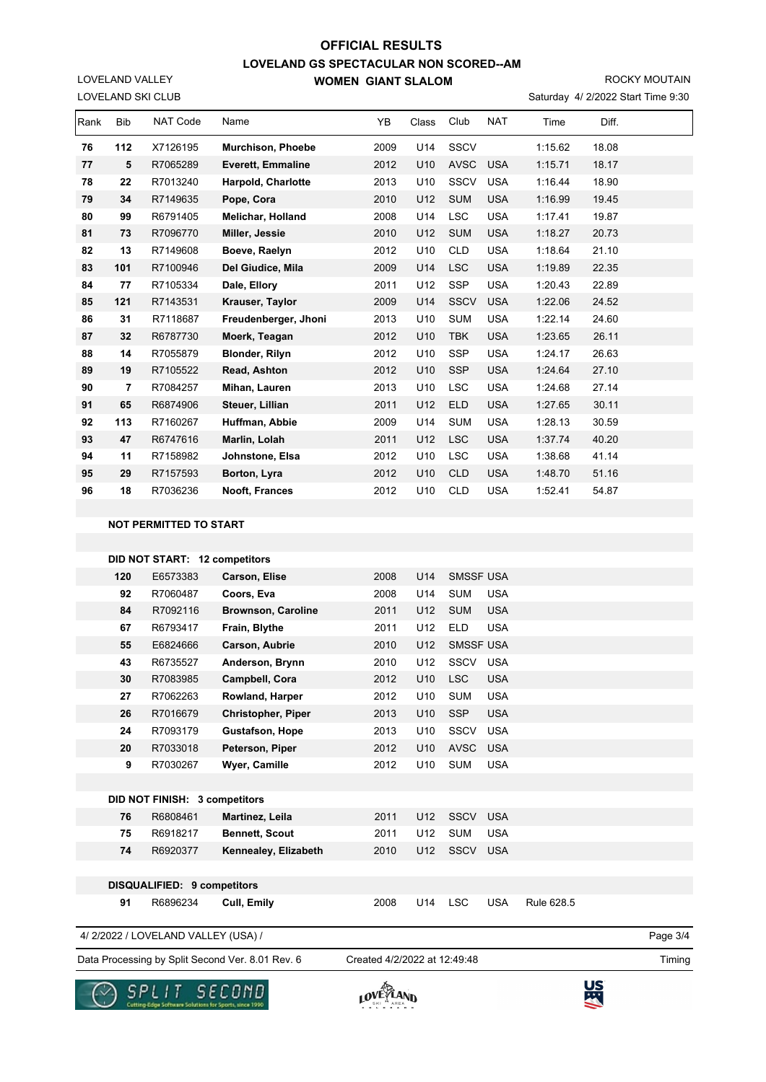ROCKY MOUTAIN

| Saturday 4/ 2/2022 Start Time 9:30 |  |  |  |  |
|------------------------------------|--|--|--|--|
|------------------------------------|--|--|--|--|

|      |                | LOVELAND SKI CLUB |                           |      |                 |             |            |         | Saturday 4/ 2/2022 Start Time 9:30 |  |
|------|----------------|-------------------|---------------------------|------|-----------------|-------------|------------|---------|------------------------------------|--|
| Rank | <b>Bib</b>     | <b>NAT Code</b>   | Name                      | YB   | Class           | Club        | <b>NAT</b> | Time    | Diff.                              |  |
| 76   | 112            | X7126195          | <b>Murchison, Phoebe</b>  | 2009 | U14             | <b>SSCV</b> |            | 1:15.62 | 18.08                              |  |
| 77   | 5              | R7065289          | <b>Everett, Emmaline</b>  | 2012 | U <sub>10</sub> | <b>AVSC</b> | <b>USA</b> | 1:15.71 | 18.17                              |  |
| 78   | 22             | R7013240          | <b>Harpold, Charlotte</b> | 2013 | U10             | <b>SSCV</b> | <b>USA</b> | 1:16.44 | 18.90                              |  |
| 79   | 34             | R7149635          | Pope, Cora                | 2010 | U12             | <b>SUM</b>  | <b>USA</b> | 1:16.99 | 19.45                              |  |
| 80   | 99             | R6791405          | <b>Melichar, Holland</b>  | 2008 | U14             | <b>LSC</b>  | <b>USA</b> | 1:17.41 | 19.87                              |  |
| 81   | 73             | R7096770          | Miller, Jessie            | 2010 | U12             | <b>SUM</b>  | <b>USA</b> | 1:18.27 | 20.73                              |  |
| 82   | 13             | R7149608          | Boeve, Raelyn             | 2012 | U10             | <b>CLD</b>  | <b>USA</b> | 1:18.64 | 21.10                              |  |
| 83   | 101            | R7100946          | Del Giudice, Mila         | 2009 | U14             | <b>LSC</b>  | <b>USA</b> | 1:19.89 | 22.35                              |  |
| 84   | 77             | R7105334          | Dale, Ellory              | 2011 | U12             | <b>SSP</b>  | <b>USA</b> | 1:20.43 | 22.89                              |  |
| 85   | 121            | R7143531          | Krauser, Taylor           | 2009 | U14             | <b>SSCV</b> | <b>USA</b> | 1:22.06 | 24.52                              |  |
| 86   | 31             | R7118687          | Freudenberger, Jhoni      | 2013 | U <sub>10</sub> | <b>SUM</b>  | <b>USA</b> | 1:22.14 | 24.60                              |  |
| 87   | 32             | R6787730          | Moerk, Teagan             | 2012 | U10             | <b>TBK</b>  | <b>USA</b> | 1:23.65 | 26.11                              |  |
| 88   | 14             | R7055879          | <b>Blonder, Rilyn</b>     | 2012 | U10             | <b>SSP</b>  | <b>USA</b> | 1:24.17 | 26.63                              |  |
| 89   | 19             | R7105522          | Read, Ashton              | 2012 | U10             | <b>SSP</b>  | <b>USA</b> | 1:24.64 | 27.10                              |  |
| 90   | $\overline{7}$ | R7084257          | Mihan, Lauren             | 2013 | U10             | <b>LSC</b>  | <b>USA</b> | 1:24.68 | 27.14                              |  |
| 91   | 65             | R6874906          | Steuer, Lillian           | 2011 | U12             | <b>ELD</b>  | <b>USA</b> | 1:27.65 | 30.11                              |  |
| 92   | 113            | R7160267          | Huffman, Abbie            | 2009 | U14             | <b>SUM</b>  | <b>USA</b> | 1:28.13 | 30.59                              |  |
| 93   | 47             | R6747616          | Marlin, Lolah             | 2011 | U12             | <b>LSC</b>  | <b>USA</b> | 1:37.74 | 40.20                              |  |
| 94   | 11             | R7158982          | Johnstone, Elsa           | 2012 | U10             | <b>LSC</b>  | <b>USA</b> | 1:38.68 | 41.14                              |  |
| 95   | 29             | R7157593          | Borton, Lyra              | 2012 | U10             | <b>CLD</b>  | <b>USA</b> | 1:48.70 | 51.16                              |  |
| 96   | 18             | R7036236          | Nooft, Frances            | 2012 | U10             | <b>CLD</b>  | <b>USA</b> | 1:52.41 | 54.87                              |  |
|      |                |                   |                           |      |                 |             |            |         |                                    |  |

#### **NOT PERMITTED TO START**

LOVELAND VALLEY

|     |                               | DID NOT START: 12 competitors |      |                 |                  |            |            |  |  |
|-----|-------------------------------|-------------------------------|------|-----------------|------------------|------------|------------|--|--|
| 120 | E6573383                      | Carson, Elise                 | 2008 | U14             | <b>SMSSF USA</b> |            |            |  |  |
| 92  | R7060487                      | Coors, Eva                    | 2008 | U14             | <b>SUM</b>       | <b>USA</b> |            |  |  |
| 84  | R7092116                      | <b>Brownson, Caroline</b>     | 2011 | U12             | <b>SUM</b>       | <b>USA</b> |            |  |  |
| 67  | R6793417                      | Frain, Blythe                 | 2011 | U12             | <b>ELD</b>       | <b>USA</b> |            |  |  |
| 55  | E6824666                      | Carson, Aubrie                | 2010 | U12             | <b>SMSSF USA</b> |            |            |  |  |
| 43  | R6735527                      | Anderson, Brynn               | 2010 | U12             | <b>SSCV</b>      | <b>USA</b> |            |  |  |
| 30  | R7083985                      | Campbell, Cora                | 2012 | U <sub>10</sub> | <b>LSC</b>       | <b>USA</b> |            |  |  |
| 27  | R7062263                      | Rowland, Harper               | 2012 | U10             | <b>SUM</b>       | <b>USA</b> |            |  |  |
| 26  | R7016679                      | <b>Christopher, Piper</b>     | 2013 | U10             | <b>SSP</b>       | <b>USA</b> |            |  |  |
| 24  | R7093179                      | <b>Gustafson, Hope</b>        | 2013 | U10             | SSCV             | <b>USA</b> |            |  |  |
| 20  | R7033018                      | Peterson, Piper               | 2012 | U10             | <b>AVSC</b>      | <b>USA</b> |            |  |  |
| 9   | R7030267                      | <b>Wyer, Camille</b>          | 2012 | U10             | <b>SUM</b>       | <b>USA</b> |            |  |  |
|     |                               |                               |      |                 |                  |            |            |  |  |
|     | DID NOT FINISH: 3 competitors |                               |      |                 |                  |            |            |  |  |
| 76  | R6808461                      | Martinez, Leila               | 2011 | U12             | <b>SSCV</b>      | <b>USA</b> |            |  |  |
| 75  | R6918217                      | <b>Bennett, Scout</b>         | 2011 | U12             | <b>SUM</b>       | <b>USA</b> |            |  |  |
| 74  | R6920377                      | Kennealey, Elizabeth          | 2010 | U12             | SSCV             | <b>USA</b> |            |  |  |
|     |                               |                               |      |                 |                  |            |            |  |  |
|     | DISQUALIFIED: 9 competitors   |                               |      |                 |                  |            |            |  |  |
| 91  | R6896234                      | Cull, Emily                   | 2008 | U14             | <b>LSC</b>       | <b>USA</b> | Rule 628.5 |  |  |
|     |                               |                               |      |                 |                  |            |            |  |  |

4/ 2/2022 / LOVELAND VALLEY (USA) /

Data Processing by Split Second Ver. 8.01 Rev. 6 Created 4/2/2022 at 12:49:48

Created 4/2/2022 at 12:49:48

Page 3/4